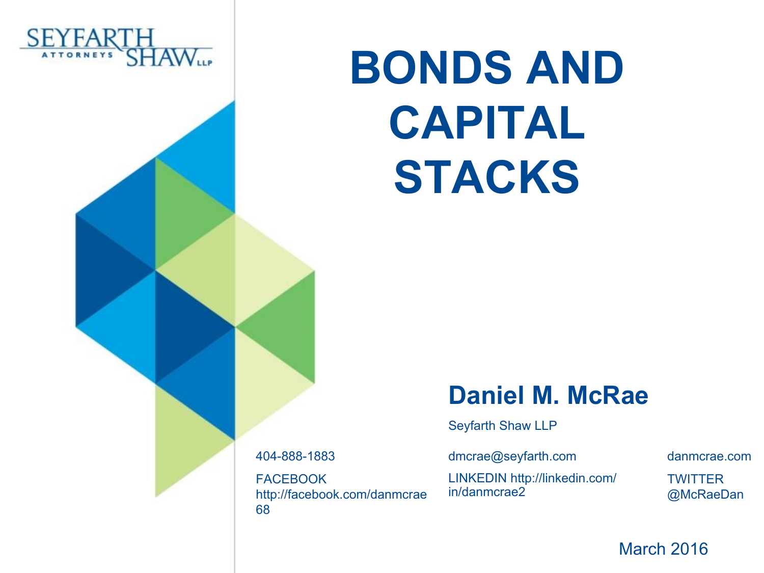

# **BONDS AND CAPITAL STACKS**

#### **Daniel M. McRae**

Seyfarth Shaw LLP

404-888-1883 dmcrae@seyfarth.com danmcrae.com FACEBOOK http://facebook.com/danmcrae 68

LINKEDIN http://linkedin.com/ in/danmcrae2

**TWITTER** @McRaeDan

March 2016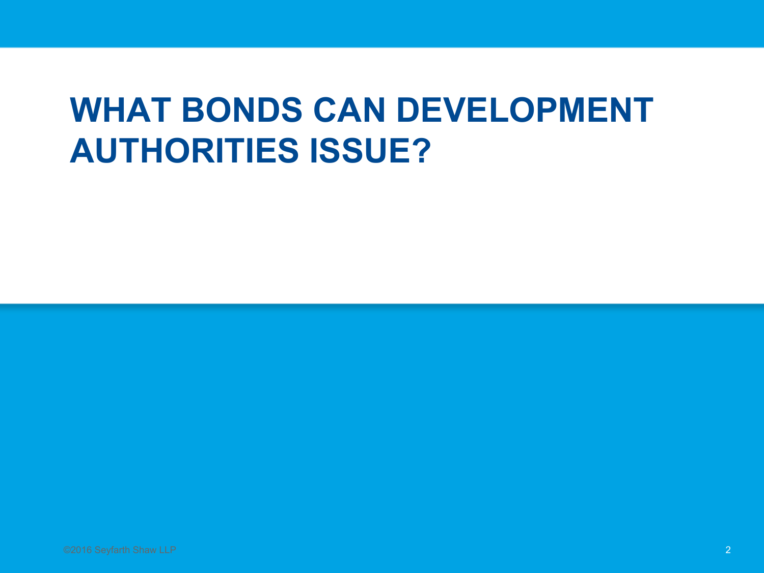#### **WHAT BONDS CAN DEVELOPMENT AUTHORITIES ISSUE?**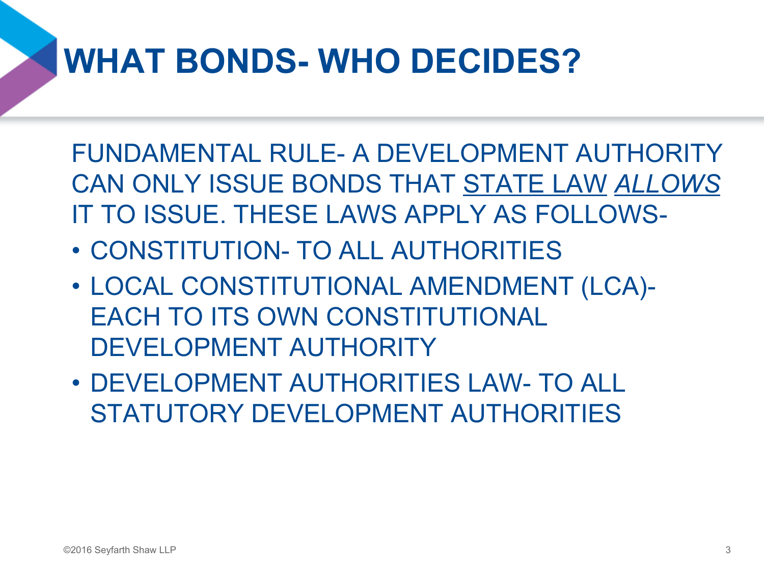### **WHAT BONDS- WHO DECIDES?**

FUNDAMENTAL RULE- A DEVELOPMENT AUTHORITY CAN ONLY ISSUE BONDS THAT STATE LAW *ALLOWS* IT TO ISSUE. THESE LAWS APPLY AS FOLLOWS-

- CONSTITUTION- TO ALL AUTHORITIES
- LOCAL CONSTITUTIONAL AMENDMENT (LCA)- EACH TO ITS OWN CONSTITUTIONAL DEVELOPMENT AUTHORITY
- DEVELOPMENT AUTHORITIES LAW- TO ALL STATUTORY DEVELOPMENT AUTHORITIES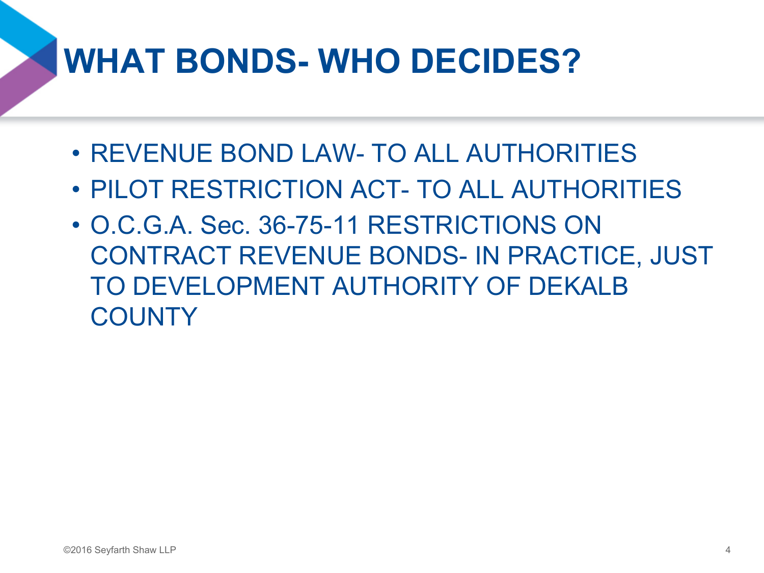### **WHAT BONDS- WHO DECIDES?**

- REVENUE BOND LAW- TO ALL AUTHORITIES
- PILOT RESTRICTION ACT- TO ALL AUTHORITIES
- O.C.G.A. Sec. 36-75-11 RESTRICTIONS ON CONTRACT REVENUE BONDS- IN PRACTICE, JUST TO DEVELOPMENT AUTHORITY OF DEKALB **COUNTY**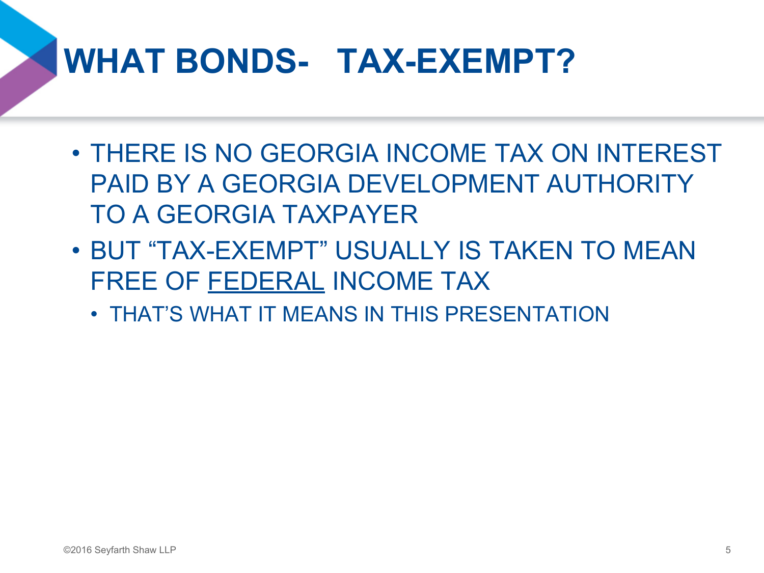### **WHAT BONDS- TAX-EXEMPT?**

- THERE IS NO GEORGIA INCOME TAX ON INTEREST PAID BY A GEORGIA DEVELOPMENT AUTHORITY TO A GEORGIA TAXPAYER
- BUT "TAX-EXEMPT" USUALLY IS TAKEN TO MEAN FREE OF FEDERAL INCOME TAX
	- THAT'S WHAT IT MEANS IN THIS PRESENTATION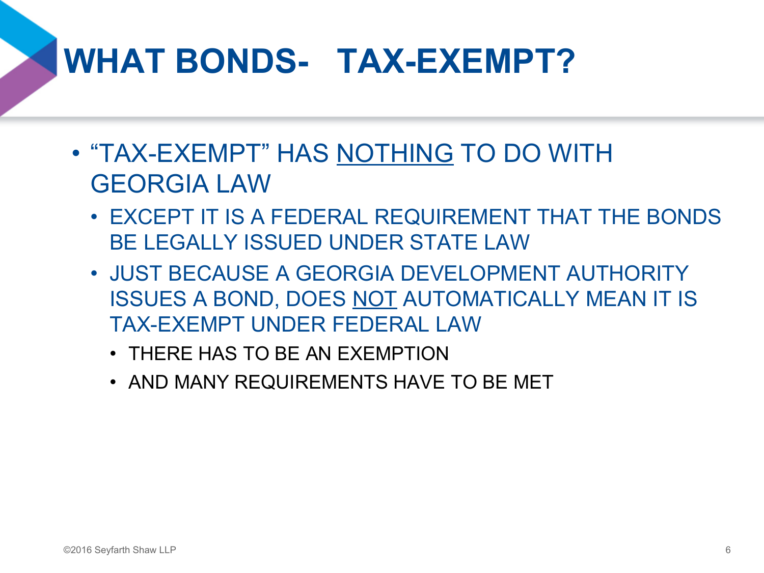### **WHAT BONDS- TAX-EXEMPT?**

- "TAX-EXEMPT" HAS NOTHING TO DO WITH GEORGIA LAW
	- EXCEPT IT IS A FEDERAL REQUIREMENT THAT THE BONDS BE LEGALLY ISSUED UNDER STATE LAW
	- JUST BECAUSE A GEORGIA DEVELOPMENT AUTHORITY ISSUES A BOND, DOES NOT AUTOMATICALLY MEAN IT IS TAX-EXEMPT UNDER FEDERAL LAW
		- THERE HAS TO BE AN EXEMPTION
		- AND MANY REQUIREMENTS HAVE TO BE MET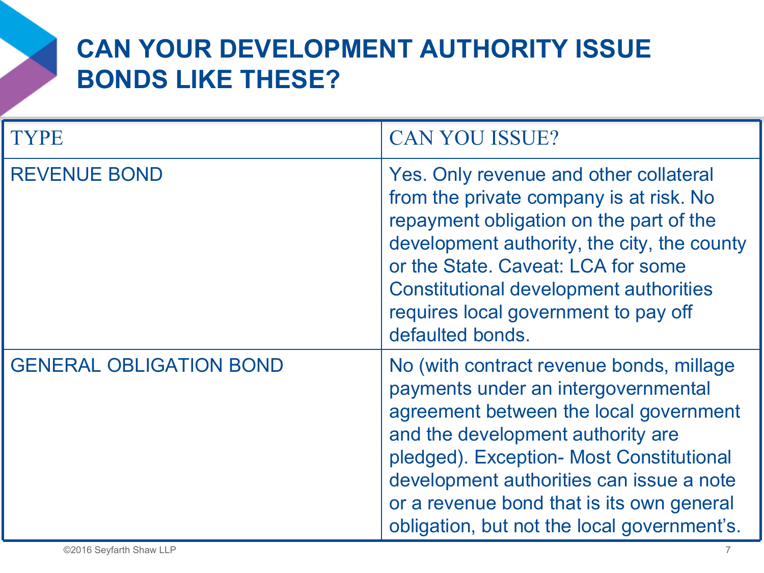| <b>TYPE</b>                    | <b>CAN YOU ISSUE?</b>                                                                                                                                                                                                                                                                                                                              |
|--------------------------------|----------------------------------------------------------------------------------------------------------------------------------------------------------------------------------------------------------------------------------------------------------------------------------------------------------------------------------------------------|
| <b>REVENUE BOND</b>            | Yes. Only revenue and other collateral<br>from the private company is at risk. No<br>repayment obligation on the part of the<br>development authority, the city, the county<br>or the State. Caveat: LCA for some<br><b>Constitutional development authorities</b><br>requires local government to pay off<br>defaulted bonds.                     |
| <b>GENERAL OBLIGATION BOND</b> | No (with contract revenue bonds, millage<br>payments under an intergovernmental<br>agreement between the local government<br>and the development authority are<br>pledged). Exception- Most Constitutional<br>development authorities can issue a note<br>or a revenue bond that is its own general<br>obligation, but not the local government's. |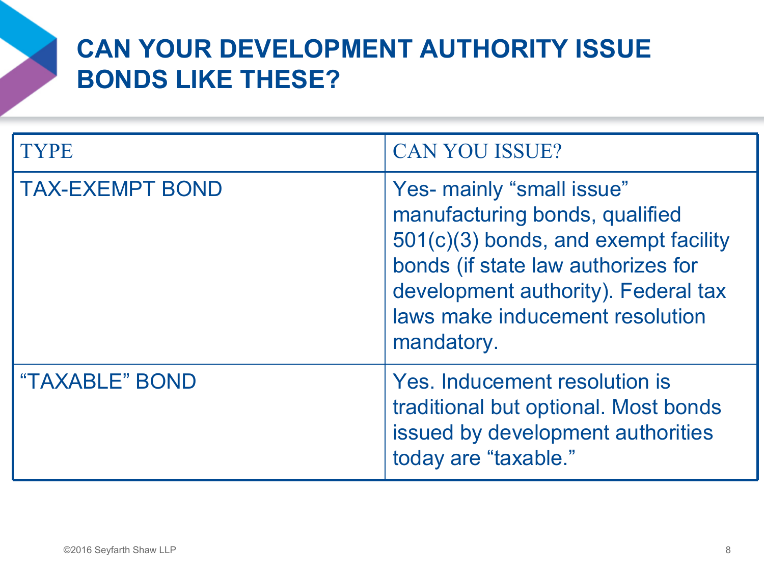| <b>TYPE</b>            | <b>CAN YOU ISSUE?</b>                                                                                                                                                                                                             |
|------------------------|-----------------------------------------------------------------------------------------------------------------------------------------------------------------------------------------------------------------------------------|
| <b>TAX-EXEMPT BOND</b> | Yes- mainly "small issue"<br>manufacturing bonds, qualified<br>501(c)(3) bonds, and exempt facility<br>bonds (if state law authorizes for<br>development authority). Federal tax<br>laws make inducement resolution<br>mandatory. |
| "TAXABLE" BOND         | Yes. Inducement resolution is<br>traditional but optional. Most bonds<br>issued by development authorities<br>today are "taxable."                                                                                                |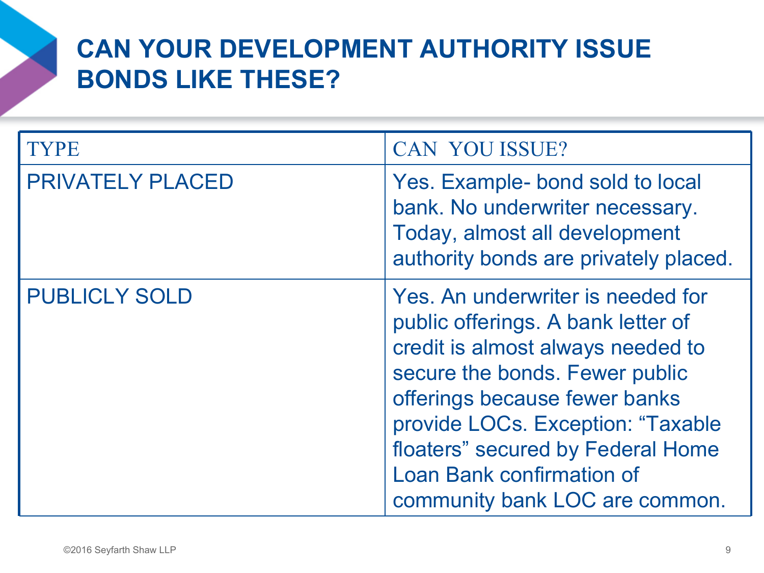| <b>TYPE</b>             | <b>CAN YOU ISSUE?</b>                                                                                                                                                                                                                                                                                                           |
|-------------------------|---------------------------------------------------------------------------------------------------------------------------------------------------------------------------------------------------------------------------------------------------------------------------------------------------------------------------------|
| <b>PRIVATELY PLACED</b> | Yes. Example- bond sold to local<br>bank. No underwriter necessary.<br>Today, almost all development<br>authority bonds are privately placed.                                                                                                                                                                                   |
| <b>PUBLICLY SOLD</b>    | Yes. An underwriter is needed for<br>public offerings. A bank letter of<br>credit is almost always needed to<br>secure the bonds. Fewer public<br>offerings because fewer banks<br>provide LOCs. Exception: "Taxable<br>floaters" secured by Federal Home<br><b>Loan Bank confirmation of</b><br>community bank LOC are common. |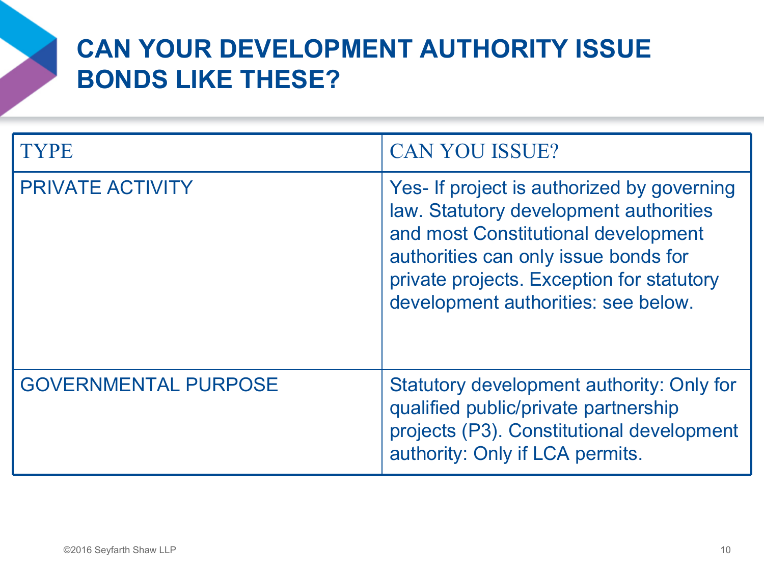| <b>TYPE</b>                 | <b>CAN YOU ISSUE?</b>                                                                                                                                                                                                                                   |
|-----------------------------|---------------------------------------------------------------------------------------------------------------------------------------------------------------------------------------------------------------------------------------------------------|
| <b>PRIVATE ACTIVITY</b>     | Yes- If project is authorized by governing<br>law. Statutory development authorities<br>and most Constitutional development<br>authorities can only issue bonds for<br>private projects. Exception for statutory<br>development authorities: see below. |
| <b>GOVERNMENTAL PURPOSE</b> | Statutory development authority: Only for<br>qualified public/private partnership<br>projects (P3). Constitutional development<br>authority: Only if LCA permits.                                                                                       |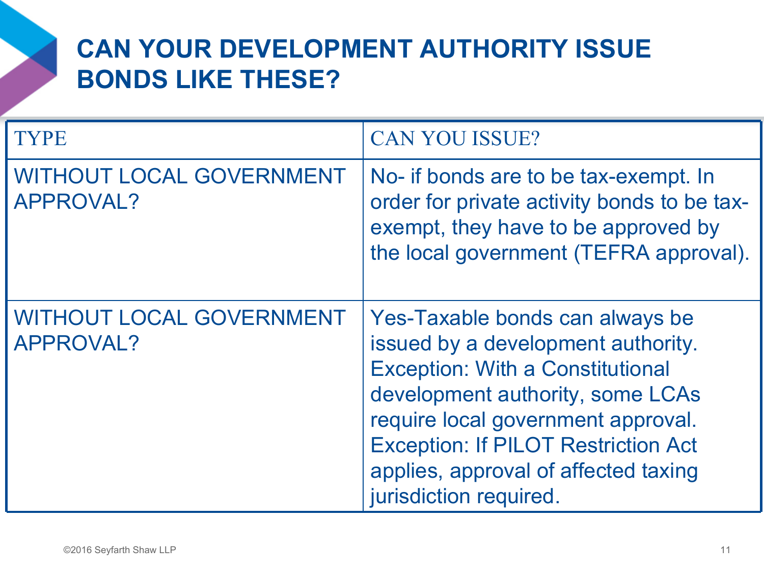| <b>TYPE</b>                                  | <b>CAN YOU ISSUE?</b>                                                                                                                                                                                                                                                                                      |
|----------------------------------------------|------------------------------------------------------------------------------------------------------------------------------------------------------------------------------------------------------------------------------------------------------------------------------------------------------------|
| <b>WITHOUT LOCAL GOVERNMENT</b><br>APPROVAL? | No- if bonds are to be tax-exempt. In<br>order for private activity bonds to be tax-<br>exempt, they have to be approved by<br>the local government (TEFRA approval).                                                                                                                                      |
| <b>WITHOUT LOCAL GOVERNMENT</b><br>APPROVAL? | Yes-Taxable bonds can always be<br>issued by a development authority.<br><b>Exception: With a Constitutional</b><br>development authority, some LCAs<br>require local government approval.<br><b>Exception: If PILOT Restriction Act</b><br>applies, approval of affected taxing<br>jurisdiction required. |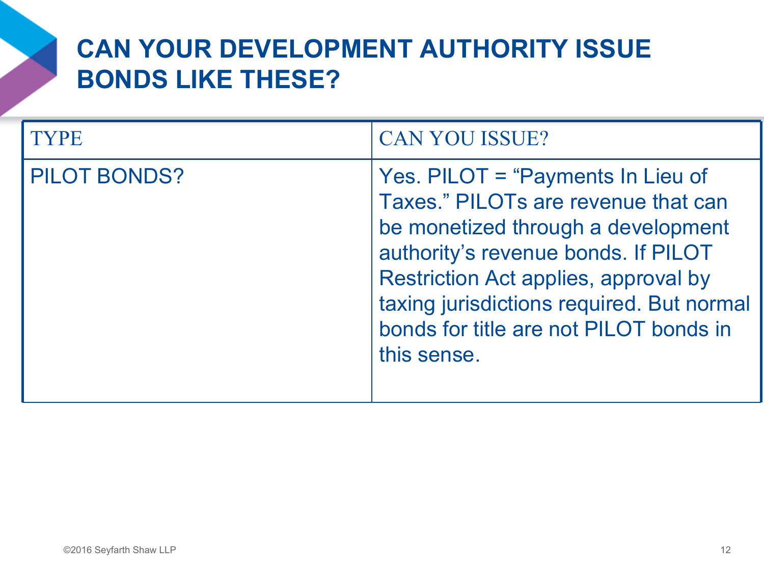| YPE.                | <b>CAN YOU ISSUE?</b>                                                                                                                                                                                                                                                                                      |
|---------------------|------------------------------------------------------------------------------------------------------------------------------------------------------------------------------------------------------------------------------------------------------------------------------------------------------------|
| <b>PILOT BONDS?</b> | Yes. PILOT = "Payments In Lieu of<br>Taxes." PILOTs are revenue that can<br>be monetized through a development<br>authority's revenue bonds. If PILOT<br><b>Restriction Act applies, approval by</b><br>taxing jurisdictions required. But normal<br>bonds for title are not PILOT bonds in<br>this sense. |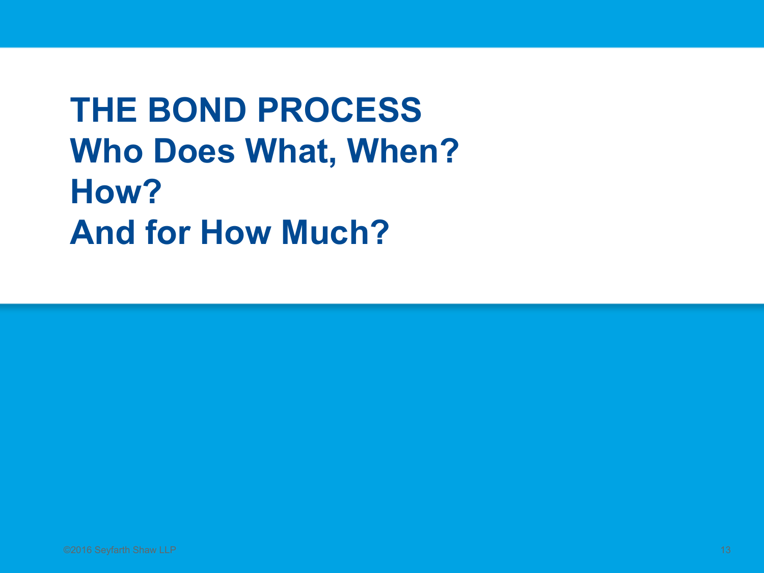**THE BOND PROCESS Who Does What, When? How? And for How Much?**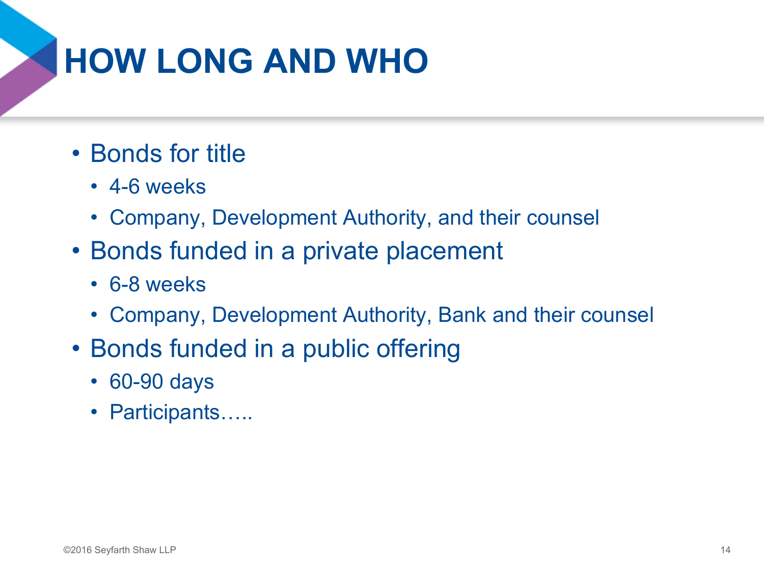### **HOW LONG AND WHO**

- Bonds for title
	- 4-6 weeks
	- Company, Development Authority, and their counsel
- Bonds funded in a private placement
	- 6-8 weeks
	- Company, Development Authority, Bank and their counsel
- Bonds funded in a public offering
	- 60-90 days
	- Participants…..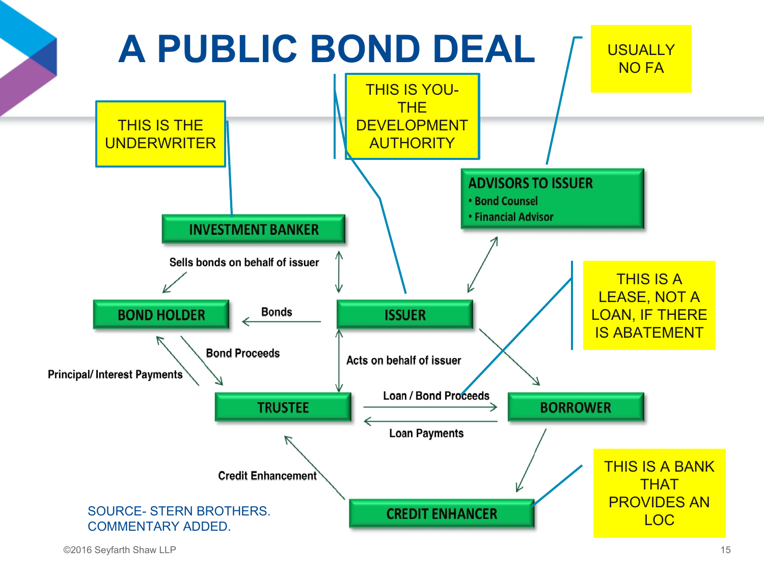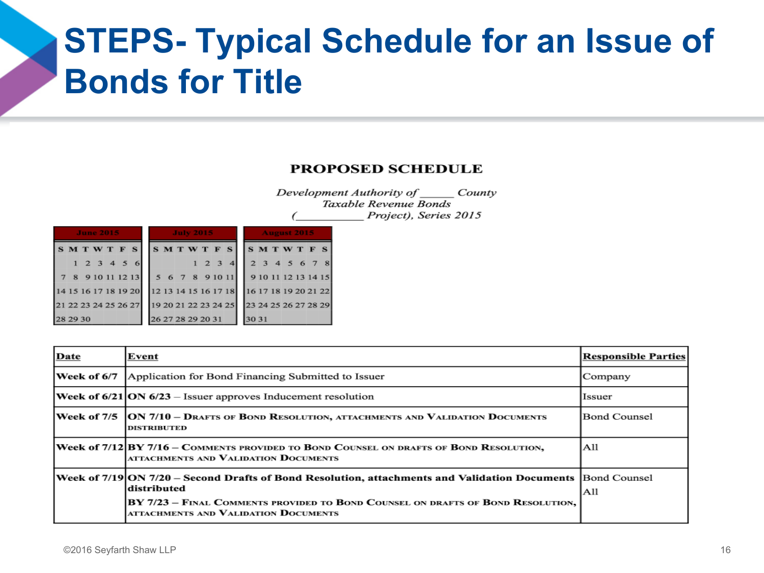#### **STEPS- Typical Schedule for an Issue of Bonds for Title**

#### **PROPOSED SCHEDULE**

Development Authority of County Taxable Revenue Bonds Project), Series 2015 7

|                                                                |                                                       | <b>June 2015</b> |  |                    | <b>July 2015</b>  |  |  |  | August 2015 |  |                       |  |  |  |  |  |
|----------------------------------------------------------------|-------------------------------------------------------|------------------|--|--------------------|-------------------|--|--|--|-------------|--|-----------------------|--|--|--|--|--|
|                                                                | SMTWTFS                                               |                  |  |                    | SMTWTFS SMTWTFS   |  |  |  |             |  |                       |  |  |  |  |  |
|                                                                |                                                       |                  |  | $1\ 2\ 3\ 4\ 5\ 6$ |                   |  |  |  |             |  | 1 2 3 4 2 3 4 5 6 7 8 |  |  |  |  |  |
|                                                                | 7 8 9 10 11 12 13 5 6 7 8 9 10 11 9 10 11 12 13 14 15 |                  |  |                    |                   |  |  |  |             |  |                       |  |  |  |  |  |
| 14 15 16 17 18 19 20 12 13 14 15 16 17 18 16 17 18 19 20 21 22 |                                                       |                  |  |                    |                   |  |  |  |             |  |                       |  |  |  |  |  |
| 21 22 23 24 25 26 27 19 20 21 22 23 24 25 23 24 25 26 27 28 29 |                                                       |                  |  |                    |                   |  |  |  |             |  |                       |  |  |  |  |  |
| 28 29 30                                                       |                                                       |                  |  |                    | 26 27 28 29 20 31 |  |  |  |             |  | 30 31                 |  |  |  |  |  |

| Date        | Event                                                                                                                                                                                                                                                  | <b>Responsible Parties</b> |
|-------------|--------------------------------------------------------------------------------------------------------------------------------------------------------------------------------------------------------------------------------------------------------|----------------------------|
| Week of 6/7 | Application for Bond Financing Submitted to Issuer                                                                                                                                                                                                     | Company                    |
|             | <b>Week of 6/21 ON 6/23</b> – Issuer approves Inducement resolution                                                                                                                                                                                    | Issuer                     |
|             | Week of 7/5 JON 7/10 – Drafts of Bond Resolution, attachments and Validation Documents<br><b>DISTRIBUTED</b>                                                                                                                                           | Bond Counsel               |
|             | Week of 7/12 BY 7/16 – Comments provided to Bond Counsel on drafts of Bond Resolution,<br>ATTACHMENTS AND VALIDATION DOCUMENTS                                                                                                                         | All                        |
|             | Week of 7/19 ON 7/20 – Second Drafts of Bond Resolution, attachments and Validation Documents   Bond Counsel<br>distributed<br>BY 7/23 - FINAL COMMENTS PROVIDED TO BOND COUNSEL ON DRAFTS OF BOND RESOLUTION,<br>ATTACHMENTS AND VALIDATION DOCUMENTS | A11                        |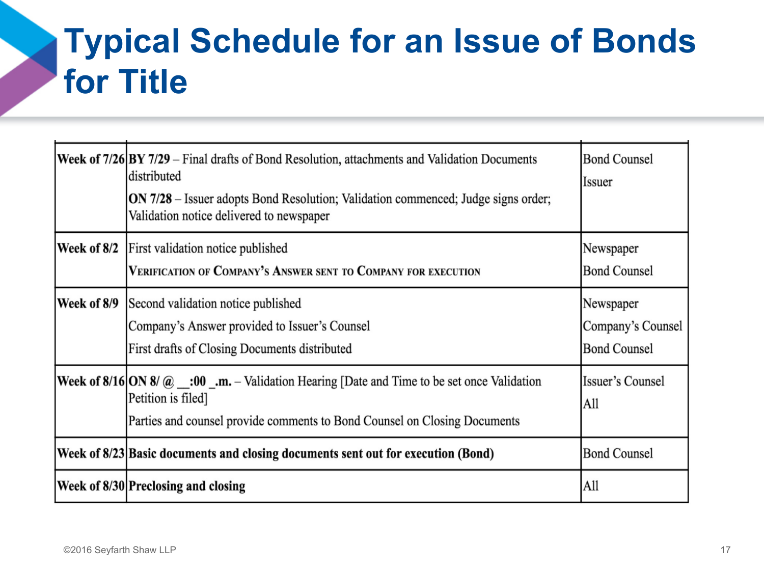#### **Typical Schedule for an Issue of Bonds for Title**

|             | <b>Week of <math>7/26</math> BY 7/29</b> – Final drafts of Bond Resolution, attachments and Validation Documents<br>distributed<br><b>ON 7/28</b> – Issuer adopts Bond Resolution; Validation commenced; Judge signs order;<br>Validation notice delivered to newspaper | <b>Bond Counsel</b><br><b>Issuer</b>                  |
|-------------|-------------------------------------------------------------------------------------------------------------------------------------------------------------------------------------------------------------------------------------------------------------------------|-------------------------------------------------------|
| Week of 8/2 | First validation notice published<br>VERIFICATION OF COMPANY'S ANSWER SENT TO COMPANY FOR EXECUTION                                                                                                                                                                     | Newspaper<br><b>Bond Counsel</b>                      |
| Week of 8/9 | Second validation notice published<br>Company's Answer provided to Issuer's Counsel<br>First drafts of Closing Documents distributed                                                                                                                                    | Newspaper<br>Company's Counsel<br><b>Bond Counsel</b> |
|             | <b>Week of 8/16 ON 8/ @ :00 .m.</b> – Validation Hearing [Date and Time to be set once Validation<br>Petition is filed]<br>Parties and counsel provide comments to Bond Counsel on Closing Documents                                                                    | Issuer's Counsel<br>All                               |
|             | Week of 8/23 Basic documents and closing documents sent out for execution (Bond)                                                                                                                                                                                        | <b>Bond Counsel</b>                                   |
|             | Week of 8/30 Preclosing and closing                                                                                                                                                                                                                                     | All                                                   |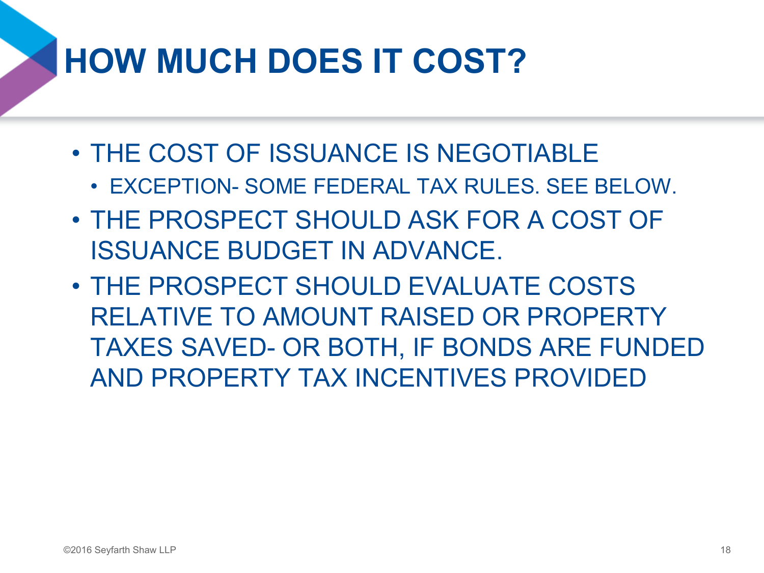### **HOW MUCH DOES IT COST?**

- THE COST OF ISSUANCE IS NEGOTIABLE
	- EXCEPTION- SOME FEDERAL TAX RULES. SEE BELOW.
- THE PROSPECT SHOULD ASK FOR A COST OF ISSUANCE BUDGET IN ADVANCE.
- THE PROSPECT SHOULD EVALUATE COSTS RELATIVE TO AMOUNT RAISED OR PROPERTY TAXES SAVED- OR BOTH, IF BONDS ARE FUNDED AND PROPERTY TAX INCENTIVES PROVIDED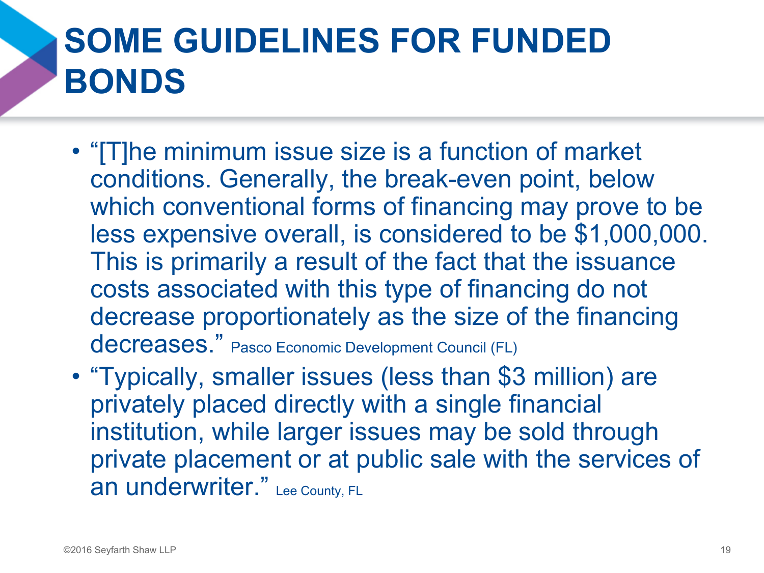### **SOME GUIDELINES FOR FUNDED BONDS**

- "[T]he minimum issue size is a function of market conditions. Generally, the break-even point, below which conventional forms of financing may prove to be less expensive overall, is considered to be \$1,000,000. This is primarily a result of the fact that the issuance costs associated with this type of financing do not decrease proportionately as the size of the financing decreases." Pasco Economic Development Council (FL)
- "Typically, smaller issues (less than \$3 million) are privately placed directly with a single financial institution, while larger issues may be sold through private placement or at public sale with the services of an underwriter." Lee County, FL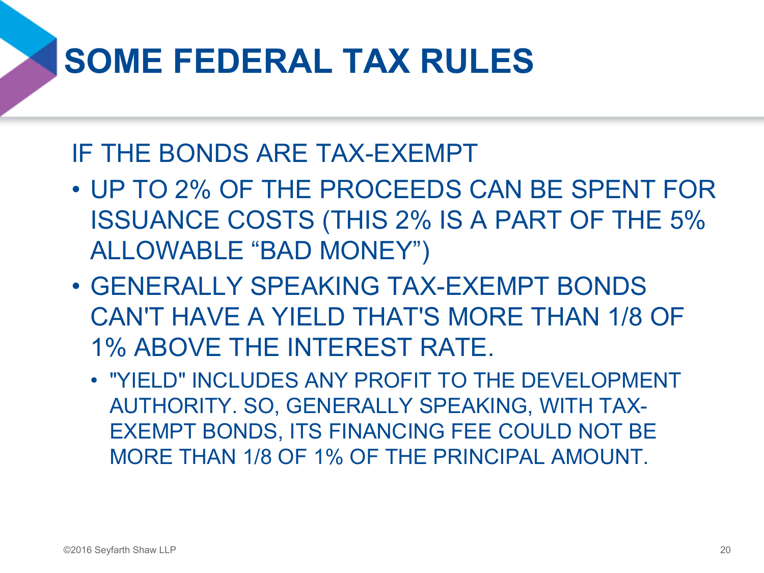### **SOME FEDERAL TAX RULES**

#### IF THE BONDS ARE TAX-EXEMPT

- UP TO 2% OF THE PROCEEDS CAN BE SPENT FOR ISSUANCE COSTS (THIS 2% IS A PART OF THE 5% ALLOWABLE "BAD MONEY")
- GENERALLY SPEAKING TAX-EXEMPT BONDS CAN'T HAVE A YIELD THAT'S MORE THAN 1/8 OF 1% ABOVE THE INTEREST RATE.
	- "YIELD" INCLUDES ANY PROFIT TO THE DEVELOPMENT AUTHORITY. SO, GENERALLY SPEAKING, WITH TAX-EXEMPT BONDS, ITS FINANCING FEE COULD NOT BE MORE THAN 1/8 OF 1% OF THE PRINCIPAL AMOUNT.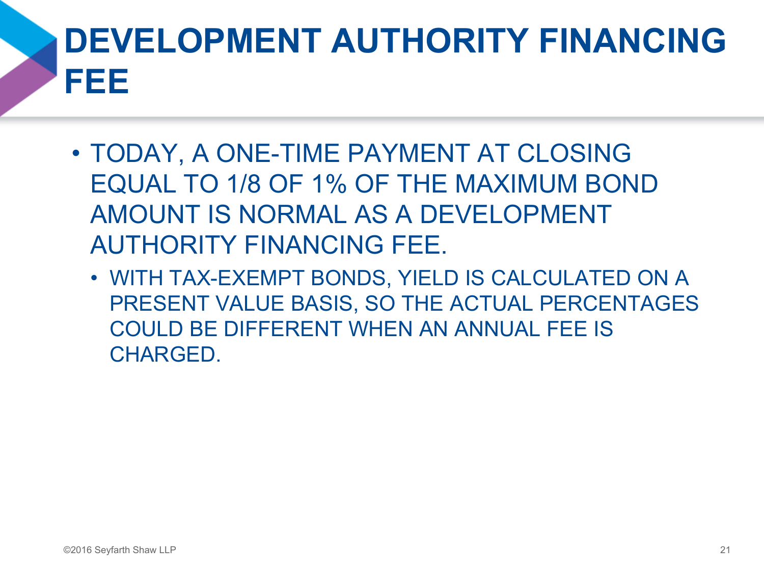## **DEVELOPMENT AUTHORITY FINANCING FEE**

- TODAY, A ONE-TIME PAYMENT AT CLOSING EQUAL TO 1/8 OF 1% OF THE MAXIMUM BOND AMOUNT IS NORMAL AS A DEVELOPMENT AUTHORITY FINANCING FEE.
	- WITH TAX-EXEMPT BONDS, YIELD IS CALCULATED ON A PRESENT VALUE BASIS, SO THE ACTUAL PERCENTAGES COULD BE DIFFERENT WHEN AN ANNUAL FEE IS CHARGED.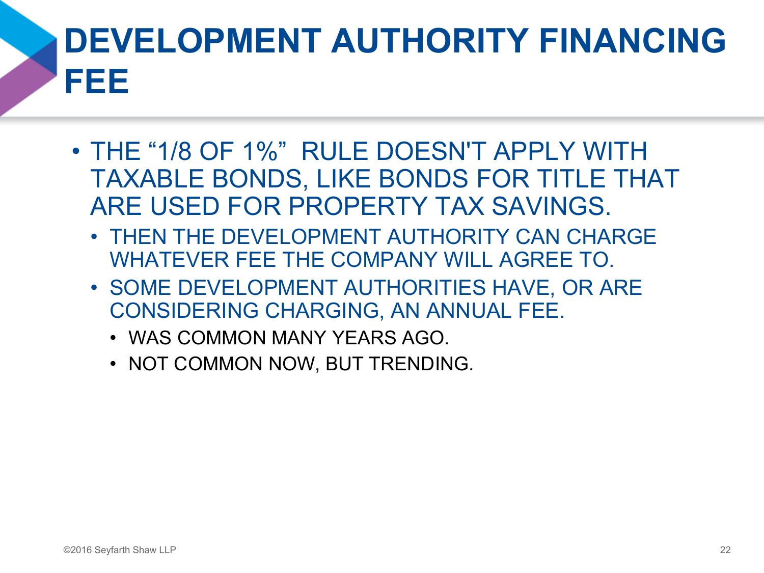## **DEVELOPMENT AUTHORITY FINANCING FEE**

- THE "1/8 OF 1%" RULE DOESN'T APPLY WITH TAXABLE BONDS, LIKE BONDS FOR TITLE THAT ARE USED FOR PROPERTY TAX SAVINGS.
	- THEN THE DEVELOPMENT AUTHORITY CAN CHARGE WHATEVER FEE THE COMPANY WILL AGREE TO.
	- SOME DEVELOPMENT AUTHORITIES HAVE, OR ARE CONSIDERING CHARGING, AN ANNUAL FEE.
		- WAS COMMON MANY YEARS AGO.
		- NOT COMMON NOW, BUT TRENDING.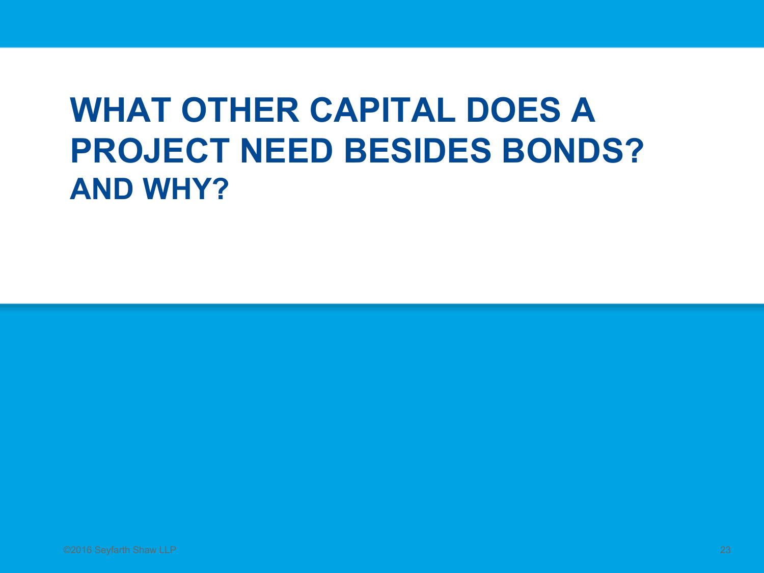#### **WHAT OTHER CAPITAL DOES A PROJECT NEED BESIDES BONDS? AND WHY?**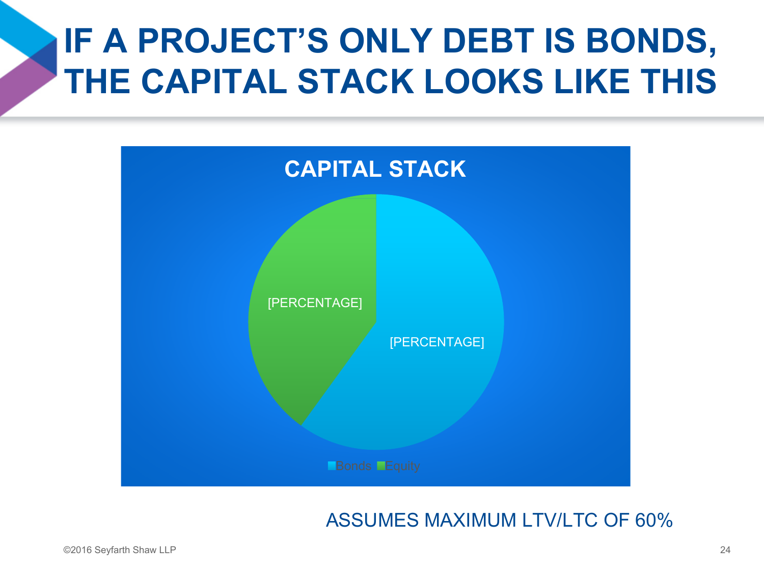### **IF A PROJECT'S ONLY DEBT IS BONDS, THE CAPITAL STACK LOOKS LIKE THIS**



#### ASSUMES MAXIMUM LTV/LTC OF 60%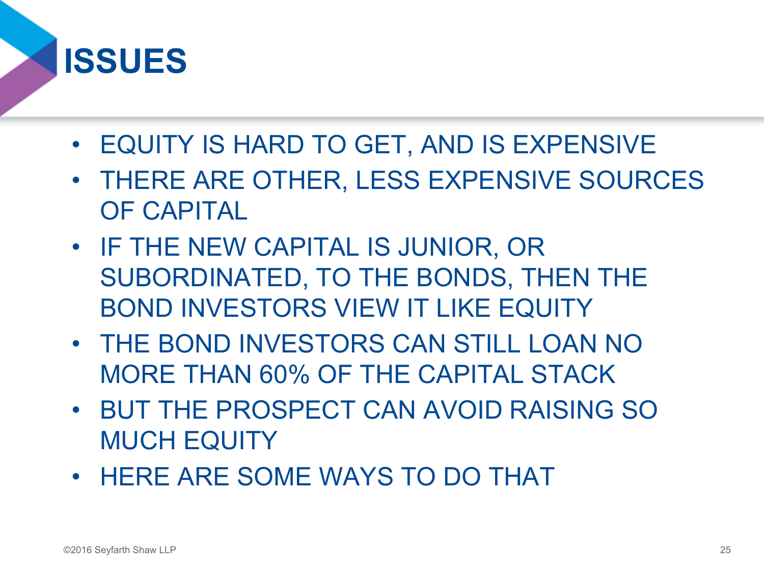#### **ISSUES**

- EQUITY IS HARD TO GET, AND IS EXPENSIVE
- THERE ARE OTHER, LESS EXPENSIVE SOURCES OF CAPITAL
- IF THE NEW CAPITAL IS JUNIOR, OR SUBORDINATED, TO THE BONDS, THEN THE BOND INVESTORS VIEW IT LIKE EQUITY
- THE BOND INVESTORS CAN STILL LOAN NO MORE THAN 60% OF THE CAPITAL STACK
- BUT THE PROSPECT CAN AVOID RAISING SO MUCH EQUITY
- HERE ARE SOME WAYS TO DO THAT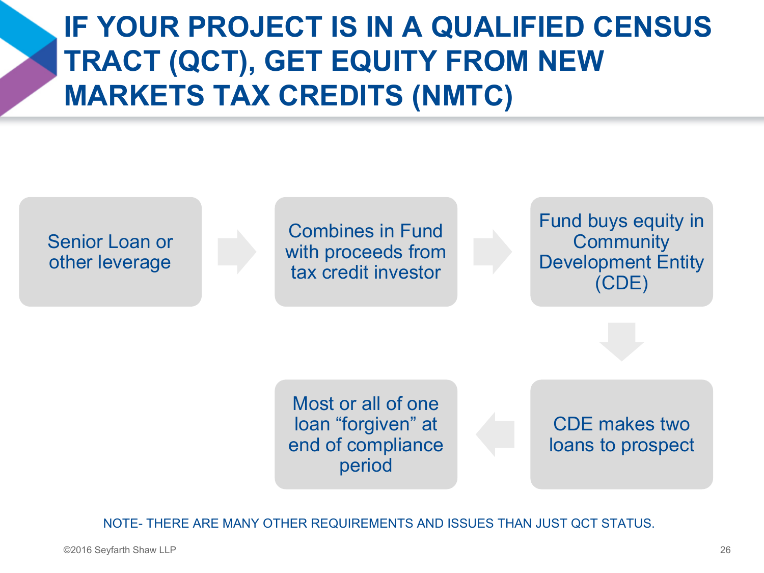#### **IF YOUR PROJECT IS IN A QUALIFIED CENSUS TRACT (QCT), GET EQUITY FROM NEW MARKETS TAX CREDITS (NMTC)**



NOTE- THERE ARE MANY OTHER REQUIREMENTS AND ISSUES THAN JUST QCT STATUS.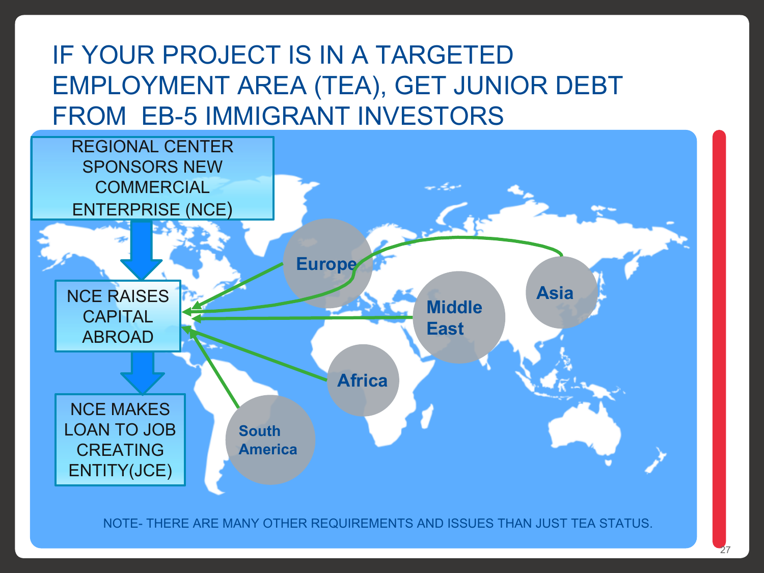#### IF YOUR PROJECT IS IN A TARGETED EMPLOYMENT AREA (TEA), GET JUNIOR DEBT FROM EB-5 IMMIGRANT INVESTORS



NOTE- THERE ARE MANY OTHER REQUIREMENTS AND ISSUES THAN JUST TEA STATUS.

©2016 Seyfarth Shaw LLP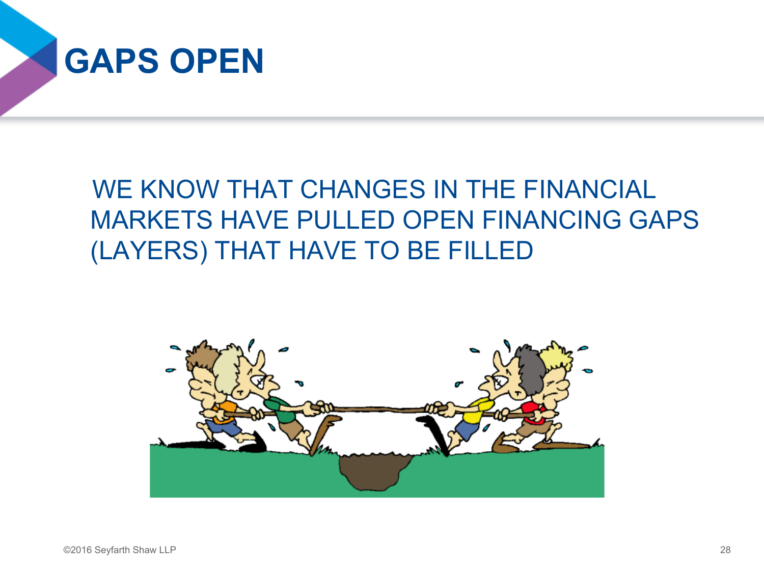

#### WE KNOW THAT CHANGES IN THE FINANCIAL MARKETS HAVE PULLED OPEN FINANCING GAPS (LAYERS) THAT HAVE TO BE FILLED

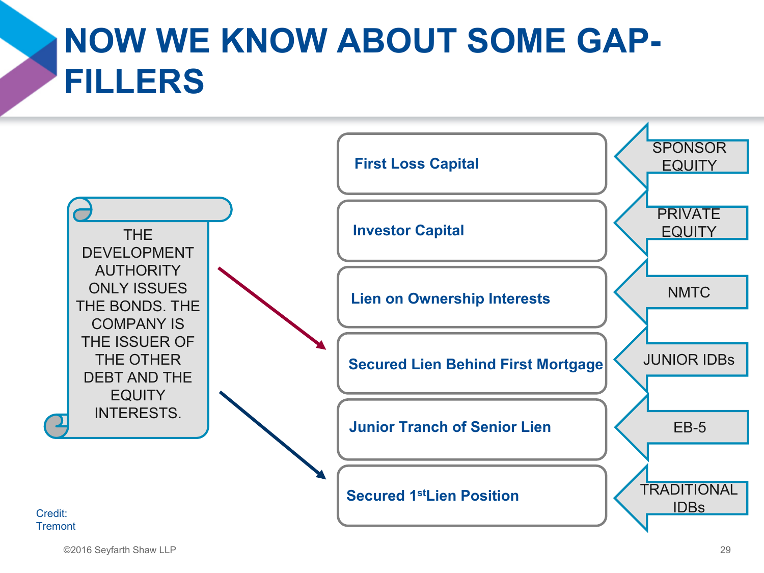### **NOW WE KNOW ABOUT SOME GAP-FILLERS**

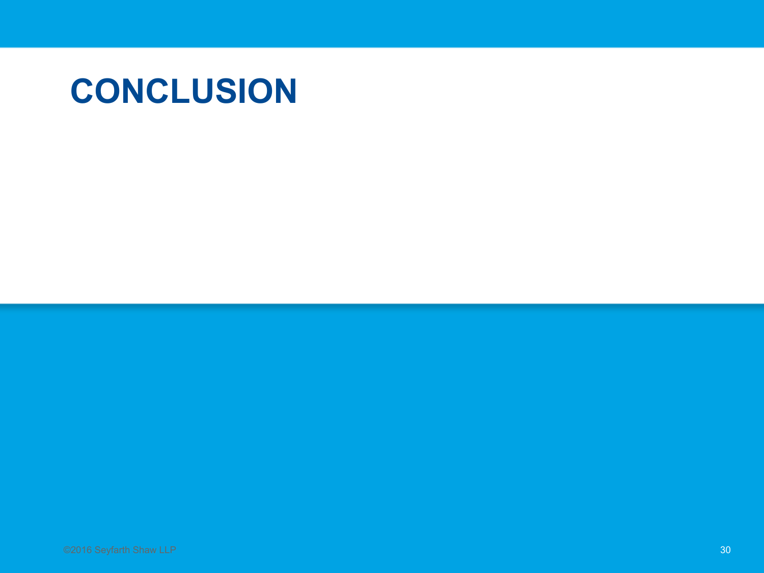#### **CONCLUSION**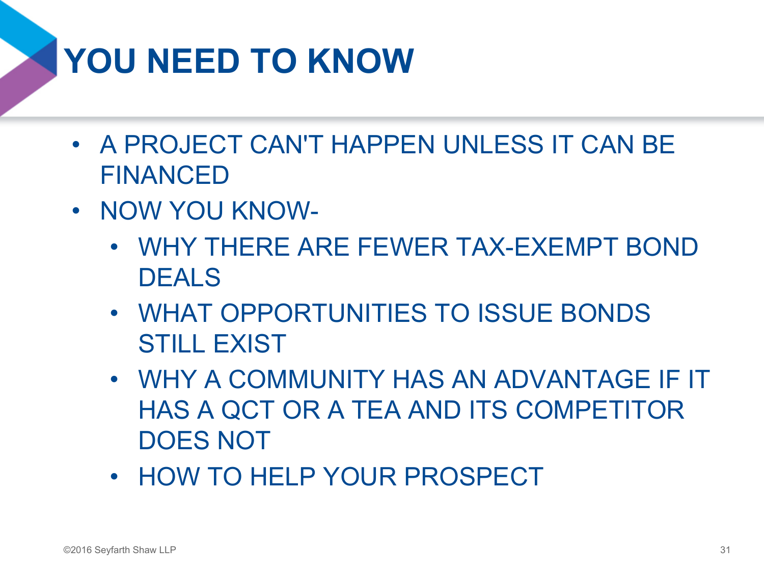## **YOU NEED TO KNOW**

- A PROJECT CAN'T HAPPEN UNLESS IT CAN BE FINANCED
- NOW YOU KNOW-
	- WHY THERE ARE FEWER TAX-EXEMPT BOND DEALS
	- WHAT OPPORTUNITIES TO ISSUE BONDS STILL EXIST
	- WHY A COMMUNITY HAS AN ADVANTAGE IF IT HAS A QCT OR A TEA AND ITS COMPETITOR DOES NOT
	- HOW TO HELP YOUR PROSPECT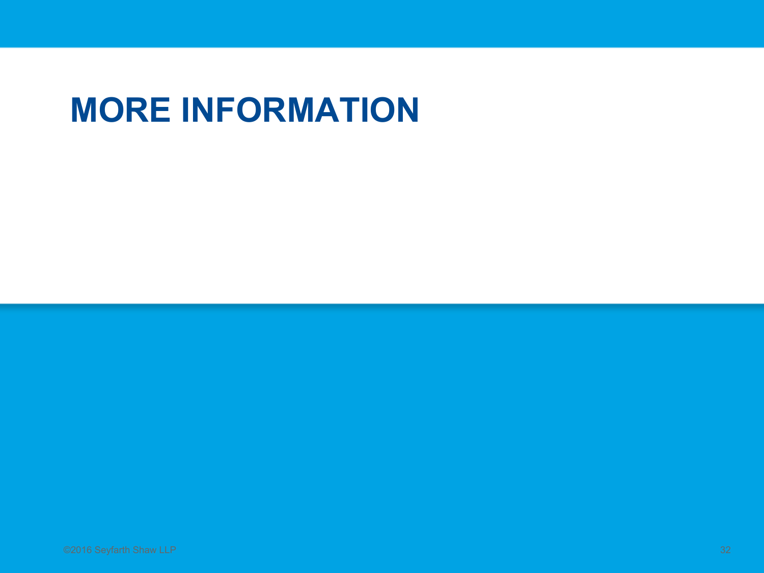#### **MORE INFORMATION**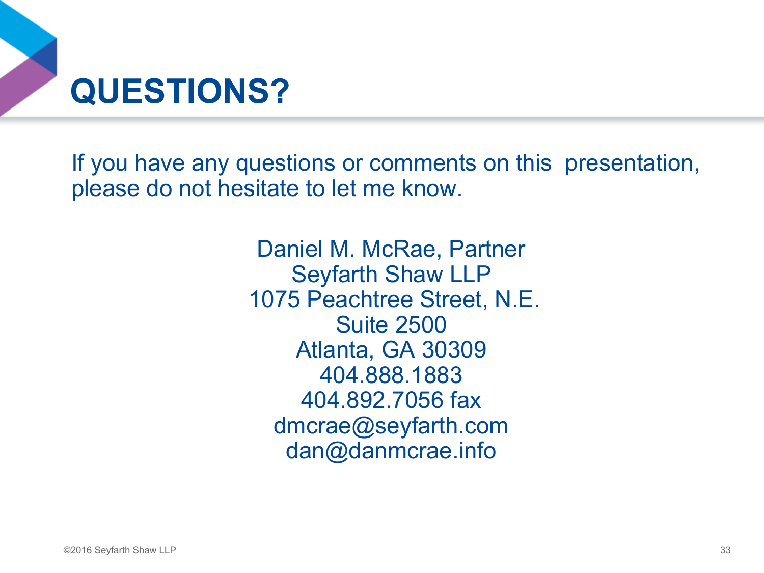

If you have any questions or comments on this presentation, please do not hesitate to let me know.

> Daniel M. McRae, Partner Seyfarth Shaw LLP 1075 Peachtree Street, N.E. Suite 2500 Atlanta, GA 30309 404.888.1883 404.892.7056 fax dmcrae@seyfarth.com dan@danmcrae.info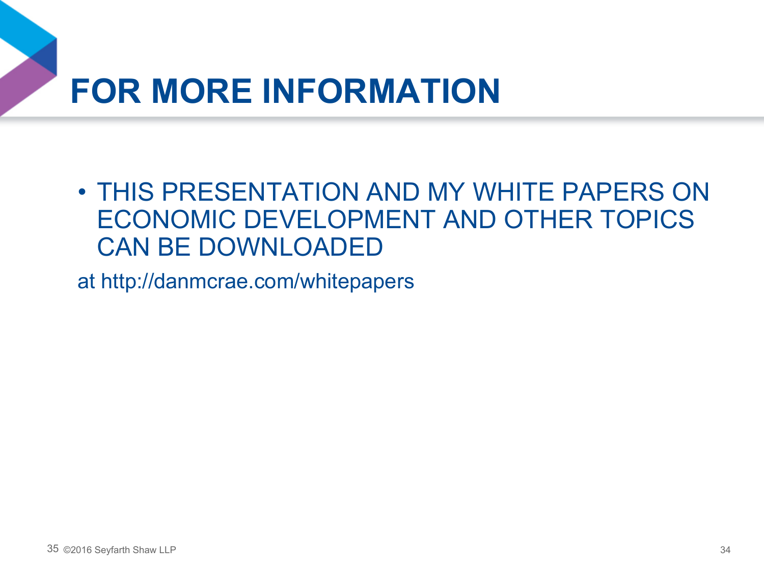### **FOR MORE INFORMATION**

• THIS PRESENTATION AND MY WHITE PAPERS ON ECONOMIC DEVELOPMENT AND OTHER TOPICS CAN BE DOWNLOADED

at http://danmcrae.com/whitepapers